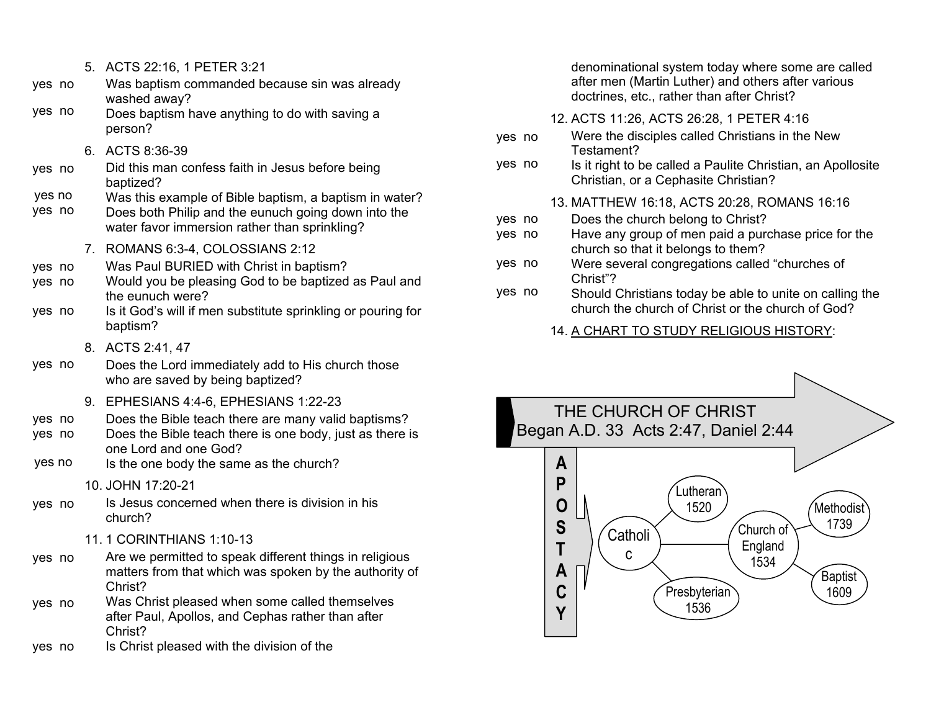| 5. ACTS 22:16, 1 PETER 3:21 |  |  |  |
|-----------------------------|--|--|--|
|-----------------------------|--|--|--|

- Was baptism commanded because sin was already washed away? yes no
- Does baptism have anything to do with saving a person? yes no
	- 6. ACTS 8:36-39
- Did this man confess faith in Jesus before being baptized? yes no
- Was this example of Bible baptism, a baptism in water? yes no
- Does both Philip and the eunuch going down into the water favor immersion rather than sprinkling? yes no
	- 7. ROMANS 6:3-4, COLOSSIANS 2:12
- Was Paul BURIED with Christ in baptism? yes no
- Would you be pleasing God to be baptized as Paul and the eunuch were? yes no
- Is it God's will if men substitute sprinkling or pouring for baptism? yes no
	- 8. ACTS 2:41, 47
- Does the Lord immediately add to His church those who are saved by being baptized? yes no
	- 9. EPHESIANS 4:4-6, EPHESIANS 1:22-23
- Does the Bible teach there are many valid baptisms? yes no
- Does the Bible teach there is one body, just as there is one Lord and one God? yes no
- Is the one body the same as the church? yes no

## 10. JOHN 17:20-21

- Is Jesus concerned when there is division in his church? yes no
	- 11. 1 CORINTHIANS 1:10-13
- Are we permitted to speak different things in religious matters from that which was spoken by the authority of Christ? yes no
- Was Christ pleased when some called themselves after Paul, Apollos, and Cephas rather than after Christ? yes no
- Is Christ pleased with the division of the yes no

denominational system today where some are called after men (Martin Luther) and others after various doctrines, etc., rather than after Christ?

- 12. ACTS 11:26, ACTS 26:28, 1 PETER 4:16
- Were the disciples called Christians in the New Testament? yes no
- Is it right to be called a Paulite Christian, an Apollosite Christian, or a Cephasite Christian? yes no
	- 13. MATTHEW 16:18, ACTS 20:28, ROMANS 16:16
- Does the church belong to Christ? yes no
- Have any group of men paid a purchase price for the church so that it belongs to them? yes no
- Were several congregations called "churches of Christ"? yes no
- Should Christians today be able to unite on calling the church the church of Christ or the church of God? yes no

## 14. A CHART TO STUDY RELIGIOUS HISTORY: